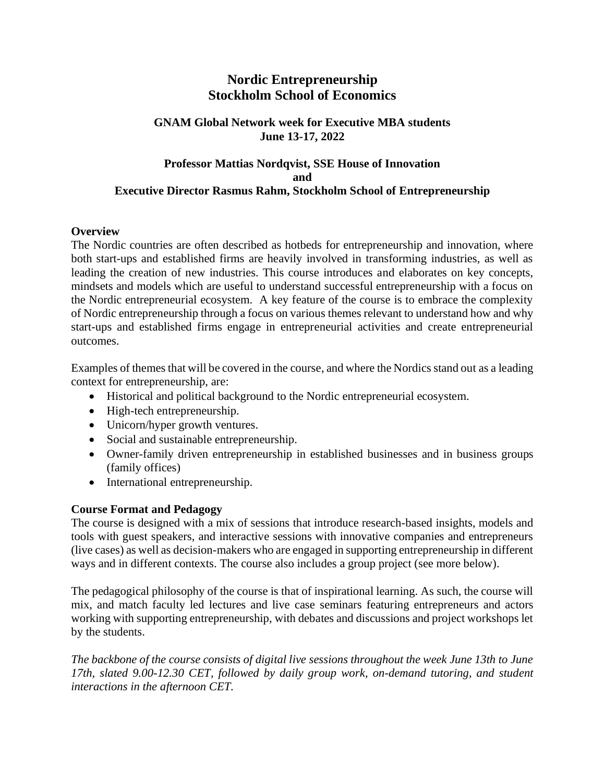# **Nordic Entrepreneurship Stockholm School of Economics**

### **GNAM Global Network week for Executive MBA students June 13-17, 2022**

# **Professor Mattias Nordqvist, SSE House of Innovation and Executive Director Rasmus Rahm, Stockholm School of Entrepreneurship**

#### **Overview**

The Nordic countries are often described as hotbeds for entrepreneurship and innovation, where both start-ups and established firms are heavily involved in transforming industries, as well as leading the creation of new industries. This course introduces and elaborates on key concepts, mindsets and models which are useful to understand successful entrepreneurship with a focus on the Nordic entrepreneurial ecosystem. A key feature of the course is to embrace the complexity of Nordic entrepreneurship through a focus on various themes relevant to understand how and why start-ups and established firms engage in entrepreneurial activities and create entrepreneurial outcomes.

Examples of themes that will be covered in the course, and where the Nordics stand out as a leading context for entrepreneurship, are:

- Historical and political background to the Nordic entrepreneurial ecosystem.
- High-tech entrepreneurship.
- Unicorn/hyper growth ventures.
- Social and sustainable entrepreneurship.
- Owner-family driven entrepreneurship in established businesses and in business groups (family offices)
- International entrepreneurship.

# **Course Format and Pedagogy**

The course is designed with a mix of sessions that introduce research-based insights, models and tools with guest speakers, and interactive sessions with innovative companies and entrepreneurs (live cases) as well as decision-makers who are engaged in supporting entrepreneurship in different ways and in different contexts. The course also includes a group project (see more below).

The pedagogical philosophy of the course is that of inspirational learning. As such, the course will mix, and match faculty led lectures and live case seminars featuring entrepreneurs and actors working with supporting entrepreneurship, with debates and discussions and project workshops let by the students.

*The backbone of the course consists of digital live sessions throughout the week June 13th to June 17th, slated 9.00-12.30 CET, followed by daily group work, on-demand tutoring, and student interactions in the afternoon CET.*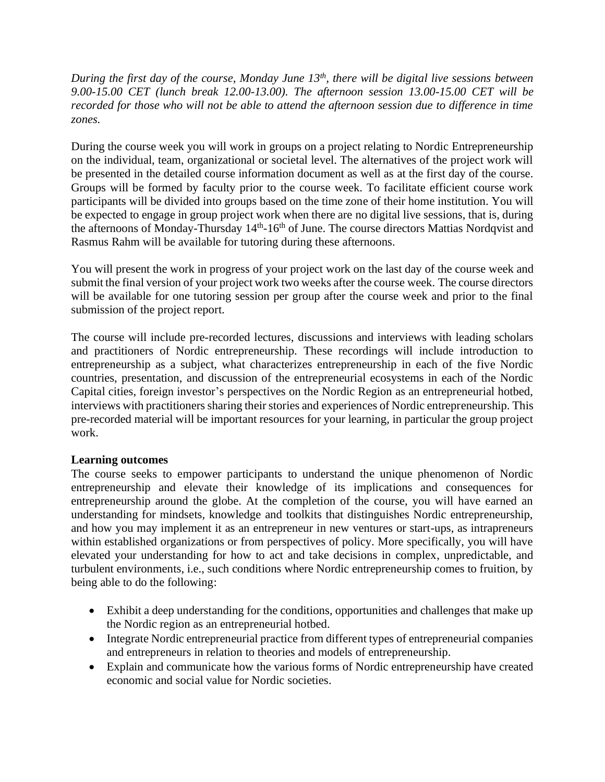*During the first day of the course, Monday June 13th, there will be digital live sessions between 9.00-15.00 CET (lunch break 12.00-13.00). The afternoon session 13.00-15.00 CET will be recorded for those who will not be able to attend the afternoon session due to difference in time zones.*

During the course week you will work in groups on a project relating to Nordic Entrepreneurship on the individual, team, organizational or societal level. The alternatives of the project work will be presented in the detailed course information document as well as at the first day of the course. Groups will be formed by faculty prior to the course week. To facilitate efficient course work participants will be divided into groups based on the time zone of their home institution. You will be expected to engage in group project work when there are no digital live sessions, that is, during the afternoons of Monday-Thursday 14<sup>th</sup>-16<sup>th</sup> of June. The course directors Mattias Nordqvist and Rasmus Rahm will be available for tutoring during these afternoons.

You will present the work in progress of your project work on the last day of the course week and submit the final version of your project work two weeks after the course week. The course directors will be available for one tutoring session per group after the course week and prior to the final submission of the project report.

The course will include pre-recorded lectures, discussions and interviews with leading scholars and practitioners of Nordic entrepreneurship. These recordings will include introduction to entrepreneurship as a subject, what characterizes entrepreneurship in each of the five Nordic countries, presentation, and discussion of the entrepreneurial ecosystems in each of the Nordic Capital cities, foreign investor's perspectives on the Nordic Region as an entrepreneurial hotbed, interviews with practitioners sharing their stories and experiences of Nordic entrepreneurship. This pre-recorded material will be important resources for your learning, in particular the group project work.

#### **Learning outcomes**

The course seeks to empower participants to understand the unique phenomenon of Nordic entrepreneurship and elevate their knowledge of its implications and consequences for entrepreneurship around the globe. At the completion of the course, you will have earned an understanding for mindsets, knowledge and toolkits that distinguishes Nordic entrepreneurship, and how you may implement it as an entrepreneur in new ventures or start-ups, as intrapreneurs within established organizations or from perspectives of policy. More specifically, you will have elevated your understanding for how to act and take decisions in complex, unpredictable, and turbulent environments, i.e., such conditions where Nordic entrepreneurship comes to fruition, by being able to do the following:

- Exhibit a deep understanding for the conditions, opportunities and challenges that make up the Nordic region as an entrepreneurial hotbed.
- Integrate Nordic entrepreneurial practice from different types of entrepreneurial companies and entrepreneurs in relation to theories and models of entrepreneurship.
- Explain and communicate how the various forms of Nordic entrepreneurship have created economic and social value for Nordic societies.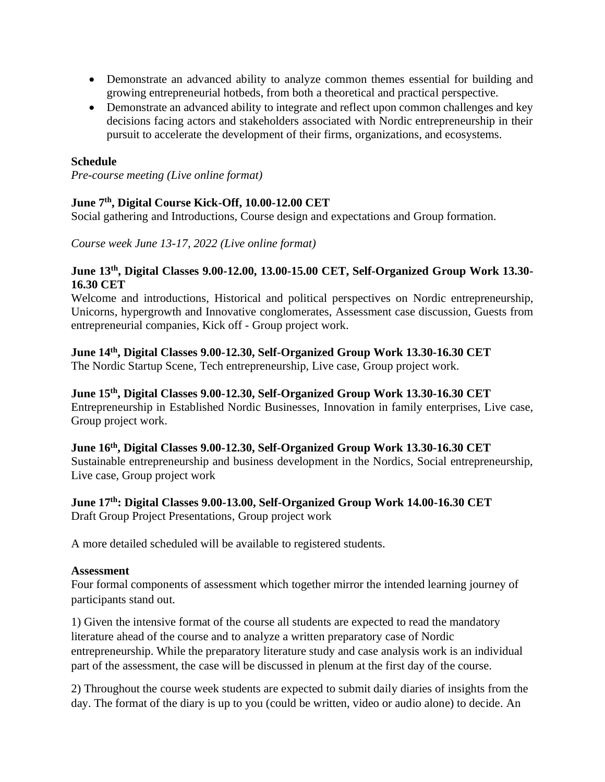- Demonstrate an advanced ability to analyze common themes essential for building and growing entrepreneurial hotbeds, from both a theoretical and practical perspective.
- Demonstrate an advanced ability to integrate and reflect upon common challenges and key decisions facing actors and stakeholders associated with Nordic entrepreneurship in their pursuit to accelerate the development of their firms, organizations, and ecosystems.

## **Schedule**

*Pre-course meeting (Live online format)*

# **June 7 th, Digital Course Kick-Off, 10.00-12.00 CET**

Social gathering and Introductions, Course design and expectations and Group formation.

*Course week June 13-17, 2022 (Live online format)*

#### **June 13th , Digital Classes 9.00-12.00, 13.00-15.00 CET, Self-Organized Group Work 13.30- 16.30 CET**

Welcome and introductions, Historical and political perspectives on Nordic entrepreneurship, Unicorns, hypergrowth and Innovative conglomerates, Assessment case discussion, Guests from entrepreneurial companies, Kick off - Group project work.

## **June 14th , Digital Classes 9.00-12.30, Self-Organized Group Work 13.30-16.30 CET**

The Nordic Startup Scene, Tech entrepreneurship, Live case, Group project work.

# **June 15th , Digital Classes 9.00-12.30, Self-Organized Group Work 13.30-16.30 CET**

Entrepreneurship in Established Nordic Businesses, Innovation in family enterprises, Live case, Group project work.

#### **June 16th , Digital Classes 9.00-12.30, Self-Organized Group Work 13.30-16.30 CET**

Sustainable entrepreneurship and business development in the Nordics, Social entrepreneurship, Live case, Group project work

#### **June 17th: Digital Classes 9.00-13.00, Self-Organized Group Work 14.00-16.30 CET**

Draft Group Project Presentations, Group project work

A more detailed scheduled will be available to registered students.

#### **Assessment**

Four formal components of assessment which together mirror the intended learning journey of participants stand out.

1) Given the intensive format of the course all students are expected to read the mandatory literature ahead of the course and to analyze a written preparatory case of Nordic entrepreneurship. While the preparatory literature study and case analysis work is an individual part of the assessment, the case will be discussed in plenum at the first day of the course.

2) Throughout the course week students are expected to submit daily diaries of insights from the day. The format of the diary is up to you (could be written, video or audio alone) to decide. An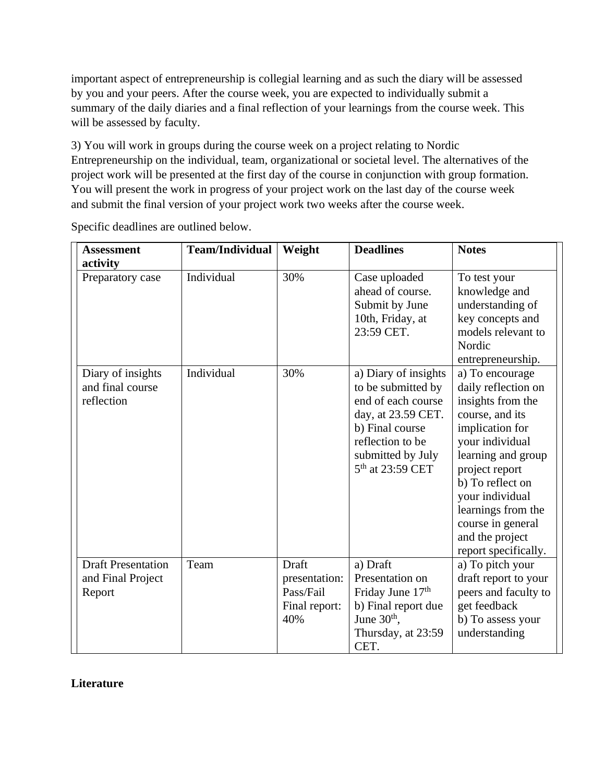important aspect of entrepreneurship is collegial learning and as such the diary will be assessed by you and your peers. After the course week, you are expected to individually submit a summary of the daily diaries and a final reflection of your learnings from the course week. This will be assessed by faculty.

3) You will work in groups during the course week on a project relating to Nordic Entrepreneurship on the individual, team, organizational or societal level. The alternatives of the project work will be presented at the first day of the course in conjunction with group formation. You will present the work in progress of your project work on the last day of the course week and submit the final version of your project work two weeks after the course week.

| <b>Assessment</b><br>activity                            | <b>Team/Individual</b> | Weight                                                      | <b>Deadlines</b>                                                                                                                                                                   | <b>Notes</b>                                                                                                                                                                                                                                                                              |
|----------------------------------------------------------|------------------------|-------------------------------------------------------------|------------------------------------------------------------------------------------------------------------------------------------------------------------------------------------|-------------------------------------------------------------------------------------------------------------------------------------------------------------------------------------------------------------------------------------------------------------------------------------------|
| Preparatory case                                         | Individual             | 30%                                                         | Case uploaded<br>ahead of course.<br>Submit by June<br>10th, Friday, at<br>23:59 CET.                                                                                              | To test your<br>knowledge and<br>understanding of<br>key concepts and<br>models relevant to<br>Nordic<br>entrepreneurship.                                                                                                                                                                |
| Diary of insights<br>and final course<br>reflection      | Individual             | 30%                                                         | a) Diary of insights<br>to be submitted by<br>end of each course<br>day, at 23.59 CET.<br>b) Final course<br>reflection to be<br>submitted by July<br>5 <sup>th</sup> at 23:59 CET | a) To encourage<br>daily reflection on<br>insights from the<br>course, and its<br>implication for<br>your individual<br>learning and group<br>project report<br>b) To reflect on<br>your individual<br>learnings from the<br>course in general<br>and the project<br>report specifically. |
| <b>Draft Presentation</b><br>and Final Project<br>Report | Team                   | Draft<br>presentation:<br>Pass/Fail<br>Final report:<br>40% | a) Draft<br>Presentation on<br>Friday June 17th<br>b) Final report due<br>June $30th$ ,<br>Thursday, at 23:59<br>CET.                                                              | a) To pitch your<br>draft report to your<br>peers and faculty to<br>get feedback<br>b) To assess your<br>understanding                                                                                                                                                                    |

Specific deadlines are outlined below.

# **Literature**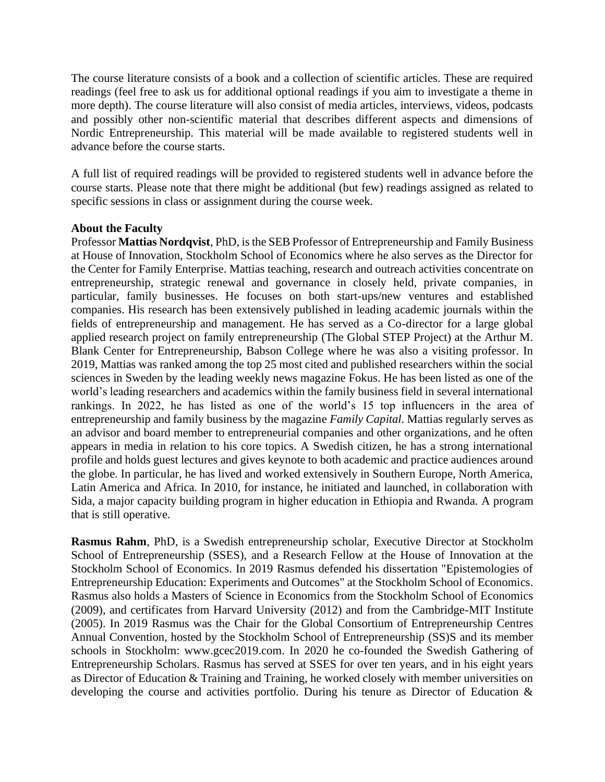The course literature consists of a book and a collection of scientific articles. These are required readings (feel free to ask us for additional optional readings if you aim to investigate a theme in more depth). The course literature will also consist of media articles, interviews, videos, podcasts and possibly other non-scientific material that describes different aspects and dimensions of Nordic Entrepreneurship. This material will be made available to registered students well in advance before the course starts.

A full list of required readings will be provided to registered students well in advance before the course starts. Please note that there might be additional (but few) readings assigned as related to specific sessions in class or assignment during the course week.

#### **About the Faculty**

Professor **Mattias Nordqvist**, PhD, is the SEB Professor of Entrepreneurship and Family Business at House of Innovation, Stockholm School of Economics where he also serves as the Director for the Center for Family Enterprise. Mattias teaching, research and outreach activities concentrate on entrepreneurship, strategic renewal and governance in closely held, private companies, in particular, family businesses. He focuses on both start-ups/new ventures and established companies. His research has been extensively published in leading academic journals within the fields of entrepreneurship and management. He has served as a Co-director for a large global applied research project on family entrepreneurship (The Global STEP Project) at the Arthur M. Blank Center for Entrepreneurship, Babson College where he was also a visiting professor. In 2019, Mattias was ranked among the top 25 most cited and published researchers within the social sciences in Sweden by the leading weekly news magazine Fokus. He has been listed as one of the world's leading researchers and academics within the family business field in several international rankings. In 2022, he has listed as one of the world's 15 top influencers in the area of entrepreneurship and family business by the magazine *Family Capital*. Mattias regularly serves as an advisor and board member to entrepreneurial companies and other organizations, and he often appears in media in relation to his core topics. A Swedish citizen, he has a strong international profile and holds guest lectures and gives keynote to both academic and practice audiences around the globe. In particular, he has lived and worked extensively in Southern Europe, North America, Latin America and Africa. In 2010, for instance, he initiated and launched, in collaboration with Sida, a major capacity building program in higher education in Ethiopia and Rwanda. A program that is still operative.

**Rasmus Rahm**, PhD, is a Swedish entrepreneurship scholar, Executive Director at Stockholm School of Entrepreneurship (SSES), and a Research Fellow at the House of Innovation at the Stockholm School of Economics. In 2019 Rasmus defended his dissertation "Epistemologies of Entrepreneurship Education: Experiments and Outcomes" at the Stockholm School of Economics. Rasmus also holds a Masters of Science in Economics from the Stockholm School of Economics (2009), and certificates from Harvard University (2012) and from the Cambridge-MIT Institute (2005). In 2019 Rasmus was the Chair for the Global Consortium of Entrepreneurship Centres Annual Convention, hosted by the Stockholm School of Entrepreneurship (SS)S and its member schools in Stockholm: www.gcec2019.com. In 2020 he co-founded the Swedish Gathering of Entrepreneurship Scholars. Rasmus has served at SSES for over ten years, and in his eight years as Director of Education & Training and Training, he worked closely with member universities on developing the course and activities portfolio. During his tenure as Director of Education &